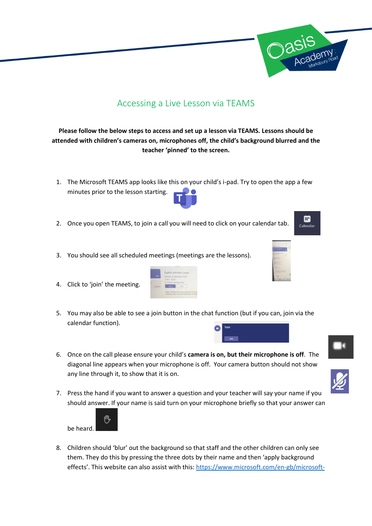

## Accessing a Live Lesson via TEAMS

## **Please follow the below steps to access and set up a lesson via TEAMS. Lessons should be attended with children's cameras on, microphones off, the child's background blurred and the teacher 'pinned' to the screen.**

- 1. The Microsoft TEAMS app looks like this on your child's i-pad. Try to open the app a few minutes prior to the lesson starting.
- 2. Once you open TEAMS, to join a call you will need to click on your calendar tab.
- 3. You should see all scheduled meetings (meetings are the lessons).
- 4. Click to 'join' the meeting.



6. Once on the call please ensure your child's **camera is on, but their microphone is off**. The diagonal line appears when your microphone is off. Your camera button should not show any line through it, to show that it is on.



7. Press the hand if you want to answer a question and your teacher will say your name if you should answer. If your name is said turn on your microphone briefly so that your answer can



8. Children should 'blur' out the background so that staff and the other children can only see them. They do this by pressing the three dots by their name and then 'apply background effects'. This website can also assist with this: [https://www.microsoft.com/en-gb/microsoft-](https://www.microsoft.com/en-gb/microsoft-365/microsoft-teams/background-blur)